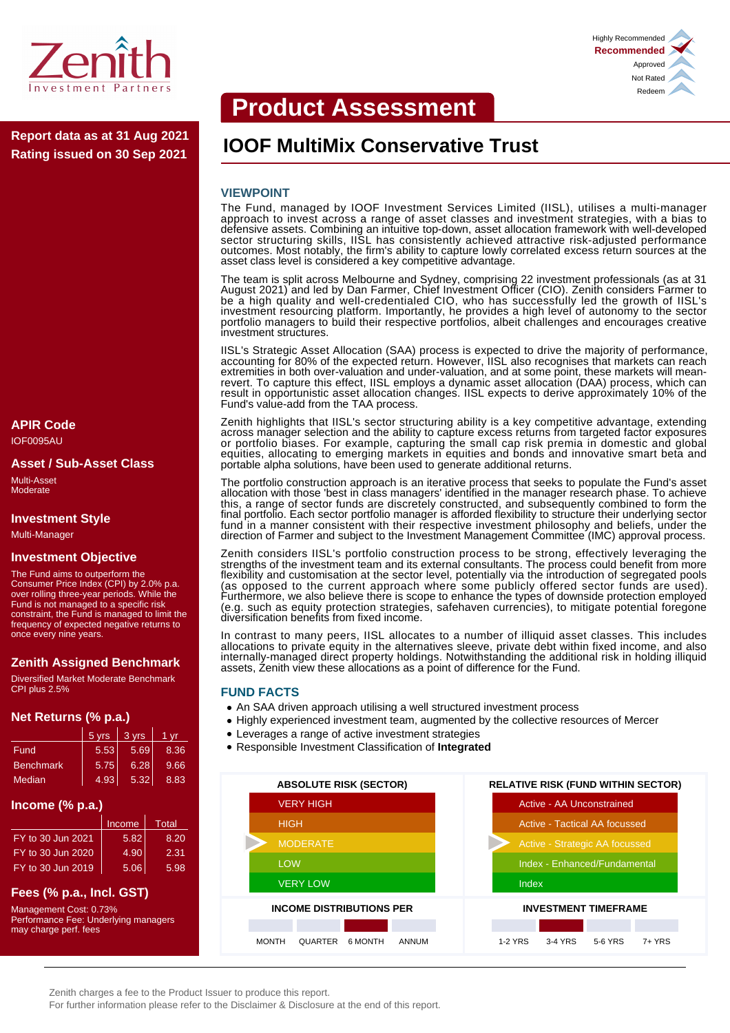

**Rating issued on 30 Sep 2021**

# **APIR Code**

IOF0095AU

#### **Asset / Sub-Asset Class**

Multi-Asset **Moderate** 

## **Investment Style**

Multi-Manager

#### **Investment Objective**

The Fund aims to outperform the Consumer Price Index (CPI) by 2.0% p.a. over rolling three-year periods. While the Fund is not managed to a specific risk constraint, the Fund is managed to limit the frequency of expected negative returns to once every nine years.

# **Zenith Assigned Benchmark**

Diversified Market Moderate Benchmark CPI plus 2.5%

# **Net Returns (% p.a.)**

|                  | 5 yrs | 3 yrs | 1 vr |
|------------------|-------|-------|------|
| Fund             | 5.53  | 5.69  | 8.36 |
| <b>Benchmark</b> | 5.75  | 6.28  | 9.66 |
| Median           | 4.93  | 5.32  | 8.83 |

# **Income (% p.a.)**

|                   | Income | <b>Total</b> |
|-------------------|--------|--------------|
| FY to 30 Jun 2021 | 5.82   | 8.20         |
| FY to 30 Jun 2020 | 4.90   | 2.31         |
| FY to 30 Jun 2019 | 5.06   | 5.98         |

# **Fees (% p.a., Incl. GST)**

Management Cost: 0.73% Performance Fee: Underlying managers may charge perf. fees

# **Product Assessment**

# **IOOF MultiMix Conservative Trust Report data as at 31 Aug 2021**

#### **VIEWPOINT**

The Fund, managed by IOOF Investment Services Limited (IISL), utilises a multi-manager approach to invest across a range of asset classes and investment strategies, with a bias to defensive assets. Combining an intuitive top-down, asset allocation framework with well-developed sector structuring skills, IISL has consistently achieved attractive risk-adjusted performance outcomes. Most notably, the firm's ability to capture lowly correlated excess return sources at the asset class level is considered a key competitive advantage.

The team is split across Melbourne and Sydney, comprising 22 investment professionals (as at 31 August 2021) and led by Dan Farmer, Chief Investment Officer (CIO). Zenith considers Farmer to be a high quality and well-credentialed CIO, who has successfully led the growth of IISL's investment resourcing platform. Importantly, he provides a high level of autonomy to the sector portfolio managers to build their respective portfolios, albeit challenges and encourages creative investment structures.

IISL's Strategic Asset Allocation (SAA) process is expected to drive the majority of performance, accounting for 80% of the expected return. However, IISL also recognises that markets can reach extremities in both over-valuation and under-valuation, and at some point, these markets will meanrevert. To capture this effect, IISL employs a dynamic asset allocation (DAA) process, which can result in opportunistic asset allocation changes. IISL expects to derive approximately 10% of the Fund's value-add from the TAA process.

Zenith highlights that IISL's sector structuring ability is a key competitive advantage, extending across manager selection and the ability to capture excess returns from targeted factor exposures or portfolio biases. For example, capturing the small cap risk premia in domestic and global equities, allocating to emerging markets in equities and bonds and innovative smart beta and portable alpha solutions, have been used to generate additional returns.

The portfolio construction approach is an iterative process that seeks to populate the Fund's asset allocation with those 'best in class managers' identified in the manager research phase. To achieve this, a range of sector funds are discretely constructed, and subsequently combined to form the final portfolio. Each sector portfolio manager is afforded flexibility to structure their underlying sector fund in a manner consistent with their respective investment philosophy and beliefs, under the direction of Farmer and subject to the Investment Management Committee (IMC) approval process.

Zenith considers IISL's portfolio construction process to be strong, effectively leveraging the strengths of the investment team and its external consultants. The process could benefit from more flexibility and customisation at the sector level, potentially via the introduction of segregated pools (as opposed to the current approach where some publicly offered sector funds are used). Furthermore, we also believe there is scope to enhance the types of downside protection employed (e.g. such as equity protection strategies, safehaven currencies), to mitigate potential foregone diversification benefits from fixed income.

In contrast to many peers, IISL allocates to a number of illiquid asset classes. This includes allocations to private equity in the alternatives sleeve, private debt within fixed income, and also internally-managed direct property holdings. Notwithstanding the additional risk in holding illiquid assets, Zenith view these allocations as a point of difference for the Fund.

#### **FUND FACTS**

- An SAA driven approach utilising a well structured investment process
- Highly experienced investment team, augmented by the collective resources of Mercer
- Leverages a range of active investment strategies
- Responsible Investment Classification of **Integrated**



Highly Recommended **Recommended** Approved Not Rated Redeem

Zenith charges a fee to the Product Issuer to produce this report.

For further information please refer to the Disclaimer & Disclosure at the end of this report.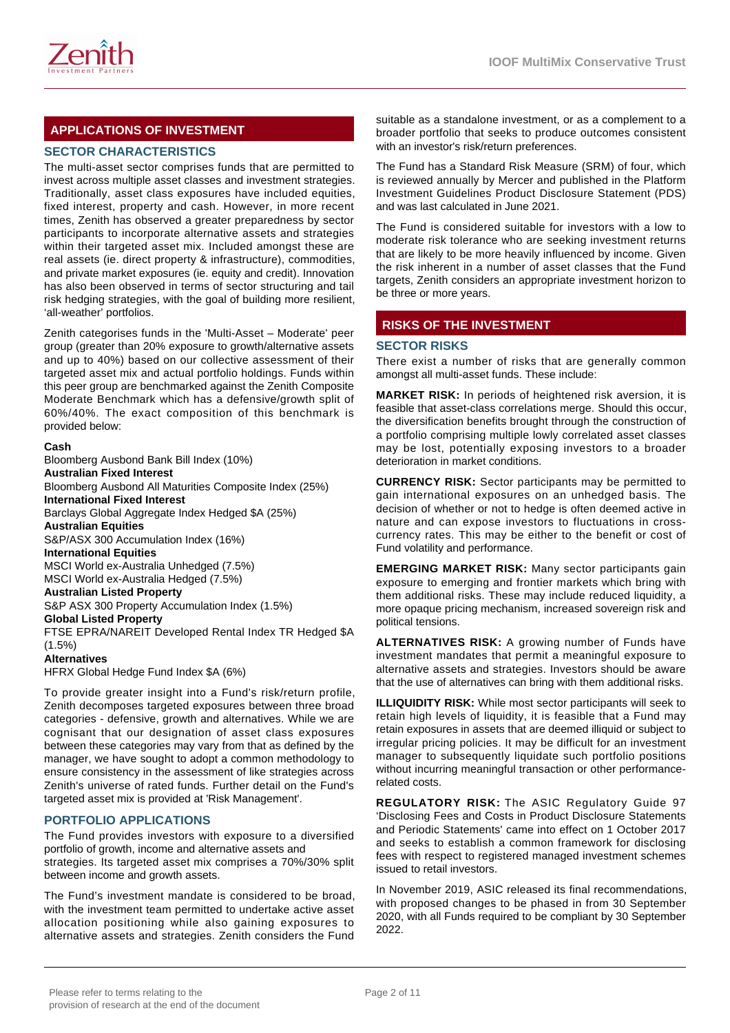

# **APPLICATIONS OF INVESTMENT**

# **SECTOR CHARACTERISTICS**

The multi-asset sector comprises funds that are permitted to invest across multiple asset classes and investment strategies. Traditionally, asset class exposures have included equities, fixed interest, property and cash. However, in more recent times, Zenith has observed a greater preparedness by sector participants to incorporate alternative assets and strategies within their targeted asset mix. Included amongst these are real assets (ie. direct property & infrastructure), commodities, and private market exposures (ie. equity and credit). Innovation has also been observed in terms of sector structuring and tail risk hedging strategies, with the goal of building more resilient, 'all-weather' portfolios.

Zenith categorises funds in the 'Multi-Asset – Moderate' peer group (greater than 20% exposure to growth/alternative assets and up to 40%) based on our collective assessment of their targeted asset mix and actual portfolio holdings. Funds within this peer group are benchmarked against the Zenith Composite Moderate Benchmark which has a defensive/growth split of 60%/40%. The exact composition of this benchmark is provided below:

#### **Cash**

Bloomberg Ausbond Bank Bill Index (10%) **Australian Fixed Interest** Bloomberg Ausbond All Maturities Composite Index (25%) **International Fixed Interest** Barclays Global Aggregate Index Hedged \$A (25%) **Australian Equities** S&P/ASX 300 Accumulation Index (16%) **International Equities** MSCI World ex-Australia Unhedged (7.5%) MSCI World ex-Australia Hedged (7.5%) **Australian Listed Property** S&P ASX 300 Property Accumulation Index (1.5%) **Global Listed Property** FTSE EPRA/NAREIT Developed Rental Index TR Hedged \$A  $(1.5\%)$ 

#### **Alternatives**

HFRX Global Hedge Fund Index \$A (6%)

To provide greater insight into a Fund's risk/return profile, Zenith decomposes targeted exposures between three broad categories - defensive, growth and alternatives. While we are cognisant that our designation of asset class exposures between these categories may vary from that as defined by the manager, we have sought to adopt a common methodology to ensure consistency in the assessment of like strategies across Zenith's universe of rated funds. Further detail on the Fund's targeted asset mix is provided at 'Risk Management'.

# **PORTFOLIO APPLICATIONS**

The Fund provides investors with exposure to a diversified portfolio of growth, income and alternative assets and strategies. Its targeted asset mix comprises a 70%/30% split between income and growth assets.

The Fund's investment mandate is considered to be broad, with the investment team permitted to undertake active asset allocation positioning while also gaining exposures to alternative assets and strategies. Zenith considers the Fund

suitable as a standalone investment, or as a complement to a broader portfolio that seeks to produce outcomes consistent with an investor's risk/return preferences.

The Fund has a Standard Risk Measure (SRM) of four, which is reviewed annually by Mercer and published in the Platform Investment Guidelines Product Disclosure Statement (PDS) and was last calculated in June 2021.

The Fund is considered suitable for investors with a low to moderate risk tolerance who are seeking investment returns that are likely to be more heavily influenced by income. Given the risk inherent in a number of asset classes that the Fund targets, Zenith considers an appropriate investment horizon to be three or more years.

# **RISKS OF THE INVESTMENT**

#### **SECTOR RISKS**

There exist a number of risks that are generally common amongst all multi-asset funds. These include:

**MARKET RISK:** In periods of heightened risk aversion, it is feasible that asset-class correlations merge. Should this occur, the diversification benefits brought through the construction of a portfolio comprising multiple lowly correlated asset classes may be lost, potentially exposing investors to a broader deterioration in market conditions.

**CURRENCY RISK:** Sector participants may be permitted to gain international exposures on an unhedged basis. The decision of whether or not to hedge is often deemed active in nature and can expose investors to fluctuations in crosscurrency rates. This may be either to the benefit or cost of Fund volatility and performance.

**EMERGING MARKET RISK:** Many sector participants gain exposure to emerging and frontier markets which bring with them additional risks. These may include reduced liquidity, a more opaque pricing mechanism, increased sovereign risk and political tensions.

**ALTERNATIVES RISK:** A growing number of Funds have investment mandates that permit a meaningful exposure to alternative assets and strategies. Investors should be aware that the use of alternatives can bring with them additional risks.

**ILLIQUIDITY RISK:** While most sector participants will seek to retain high levels of liquidity, it is feasible that a Fund may retain exposures in assets that are deemed illiquid or subject to irregular pricing policies. It may be difficult for an investment manager to subsequently liquidate such portfolio positions without incurring meaningful transaction or other performancerelated costs.

**REGULATORY RISK:** The ASIC Regulatory Guide 97 'Disclosing Fees and Costs in Product Disclosure Statements and Periodic Statements' came into effect on 1 October 2017 and seeks to establish a common framework for disclosing fees with respect to registered managed investment schemes issued to retail investors.

In November 2019, ASIC released its final recommendations, with proposed changes to be phased in from 30 September 2020, with all Funds required to be compliant by 30 September 2022.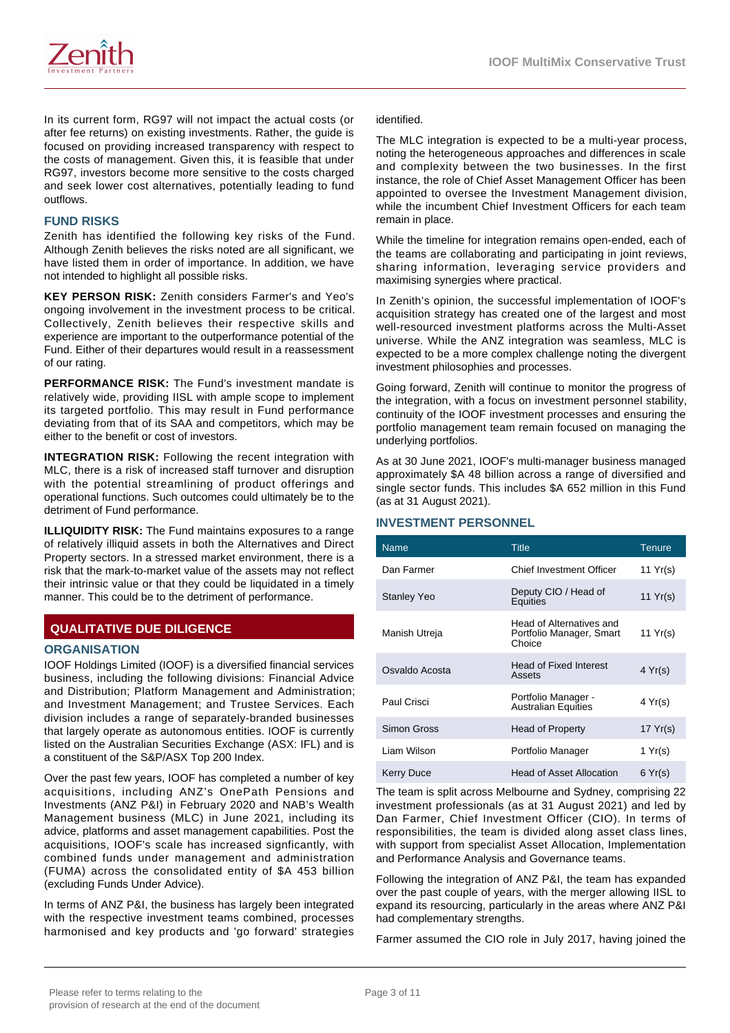

In its current form, RG97 will not impact the actual costs (or after fee returns) on existing investments. Rather, the guide is focused on providing increased transparency with respect to the costs of management. Given this, it is feasible that under RG97, investors become more sensitive to the costs charged and seek lower cost alternatives, potentially leading to fund outflows.

#### **FUND RISKS**

Zenith has identified the following key risks of the Fund. Although Zenith believes the risks noted are all significant, we have listed them in order of importance. In addition, we have not intended to highlight all possible risks.

**KEY PERSON RISK:** Zenith considers Farmer's and Yeo's ongoing involvement in the investment process to be critical. Collectively, Zenith believes their respective skills and experience are important to the outperformance potential of the Fund. Either of their departures would result in a reassessment of our rating.

**PERFORMANCE RISK:** The Fund's investment mandate is relatively wide, providing IISL with ample scope to implement its targeted portfolio. This may result in Fund performance deviating from that of its SAA and competitors, which may be either to the benefit or cost of investors.

**INTEGRATION RISK:** Following the recent integration with MLC, there is a risk of increased staff turnover and disruption with the potential streamlining of product offerings and operational functions. Such outcomes could ultimately be to the detriment of Fund performance.

**ILLIQUIDITY RISK:** The Fund maintains exposures to a range of relatively illiquid assets in both the Alternatives and Direct Property sectors. In a stressed market environment, there is a risk that the mark-to-market value of the assets may not reflect their intrinsic value or that they could be liquidated in a timely manner. This could be to the detriment of performance.

# **QUALITATIVE DUE DILIGENCE**

#### **ORGANISATION**

IOOF Holdings Limited (IOOF) is a diversified financial services business, including the following divisions: Financial Advice and Distribution; Platform Management and Administration; and Investment Management; and Trustee Services. Each division includes a range of separately-branded businesses that largely operate as autonomous entities. IOOF is currently listed on the Australian Securities Exchange (ASX: IFL) and is a constituent of the S&P/ASX Top 200 Index.

Over the past few years, IOOF has completed a number of key acquisitions, including ANZ's OnePath Pensions and Investments (ANZ P&I) in February 2020 and NAB's Wealth Management business (MLC) in June 2021, including its advice, platforms and asset management capabilities. Post the acquisitions, IOOF's scale has increased signficantly, with combined funds under management and administration (FUMA) across the consolidated entity of \$A 453 billion (excluding Funds Under Advice).

In terms of ANZ P&I, the business has largely been integrated with the respective investment teams combined, processes harmonised and key products and 'go forward' strategies

identified.

The MLC integration is expected to be a multi-year process, noting the heterogeneous approaches and differences in scale and complexity between the two businesses. In the first instance, the role of Chief Asset Management Officer has been appointed to oversee the Investment Management division, while the incumbent Chief Investment Officers for each team remain in place.

While the timeline for integration remains open-ended, each of the teams are collaborating and participating in joint reviews, sharing information, leveraging service providers and maximising synergies where practical.

In Zenith's opinion, the successful implementation of IOOF's acquisition strategy has created one of the largest and most well-resourced investment platforms across the Multi-Asset universe. While the ANZ integration was seamless, MLC is expected to be a more complex challenge noting the divergent investment philosophies and processes.

Going forward, Zenith will continue to monitor the progress of the integration, with a focus on investment personnel stability, continuity of the IOOF investment processes and ensuring the portfolio management team remain focused on managing the underlying portfolios.

As at 30 June 2021, IOOF's multi-manager business managed approximately \$A 48 billion across a range of diversified and single sector funds. This includes \$A 652 million in this Fund (as at 31 August 2021).

# **INVESTMENT PERSONNEL**

| <b>Name</b>        | <b>Title</b>                                                   | Tenure           |
|--------------------|----------------------------------------------------------------|------------------|
| Dan Farmer         | Chief Investment Officer                                       | 11 $Yr(s)$       |
| <b>Stanley Yeo</b> | Deputy CIO / Head of<br>Equities                               | 11 $Yr(s)$       |
| Manish Utreja      | Head of Alternatives and<br>Portfolio Manager, Smart<br>Choice | 11 $Yr(s)$       |
| Osvaldo Acosta     | <b>Head of Fixed Interest</b><br>Assets                        | $4 \text{Yr(s)}$ |
| Paul Crisci        | Portfolio Manager -<br><b>Australian Equities</b>              | 4 Yr(s)          |
| Simon Gross        | Head of Property                                               | 17 $Yr(s)$       |
| Liam Wilson        | Portfolio Manager                                              | 1 $Yr(s)$        |
| <b>Kerry Duce</b>  | <b>Head of Asset Allocation</b>                                | 6 Yr(s)          |

The team is split across Melbourne and Sydney, comprising 22 investment professionals (as at 31 August 2021) and led by Dan Farmer, Chief Investment Officer (CIO). In terms of responsibilities, the team is divided along asset class lines, with support from specialist Asset Allocation, Implementation and Performance Analysis and Governance teams.

Following the integration of ANZ P&I, the team has expanded over the past couple of years, with the merger allowing IISL to expand its resourcing, particularly in the areas where ANZ P&I had complementary strengths.

Farmer assumed the CIO role in July 2017, having joined the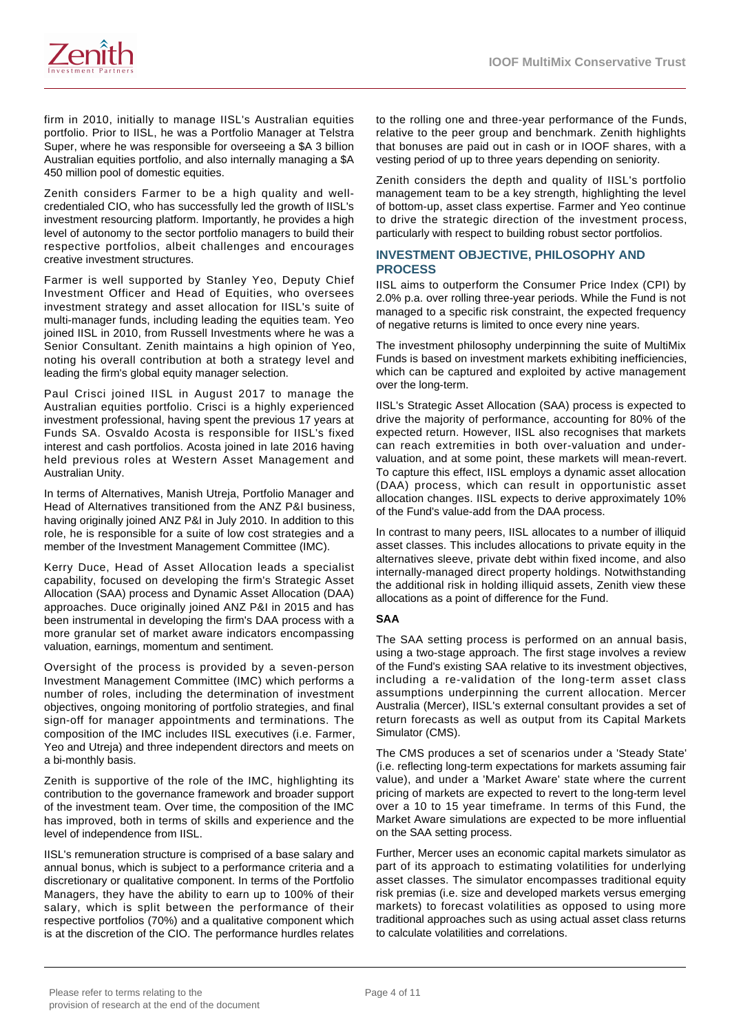

firm in 2010, initially to manage IISL's Australian equities portfolio. Prior to IISL, he was a Portfolio Manager at Telstra Super, where he was responsible for overseeing a \$A 3 billion Australian equities portfolio, and also internally managing a \$A 450 million pool of domestic equities.

Zenith considers Farmer to be a high quality and wellcredentialed CIO, who has successfully led the growth of IISL's investment resourcing platform. Importantly, he provides a high level of autonomy to the sector portfolio managers to build their respective portfolios, albeit challenges and encourages creative investment structures.

Farmer is well supported by Stanley Yeo, Deputy Chief Investment Officer and Head of Equities, who oversees investment strategy and asset allocation for IISL's suite of multi-manager funds, including leading the equities team. Yeo joined IISL in 2010, from Russell Investments where he was a Senior Consultant. Zenith maintains a high opinion of Yeo, noting his overall contribution at both a strategy level and leading the firm's global equity manager selection.

Paul Crisci joined IISL in August 2017 to manage the Australian equities portfolio. Crisci is a highly experienced investment professional, having spent the previous 17 years at Funds SA. Osvaldo Acosta is responsible for IISL's fixed interest and cash portfolios. Acosta joined in late 2016 having held previous roles at Western Asset Management and Australian Unity.

In terms of Alternatives, Manish Utreja, Portfolio Manager and Head of Alternatives transitioned from the ANZ P&I business, having originally joined ANZ P&I in July 2010. In addition to this role, he is responsible for a suite of low cost strategies and a member of the Investment Management Committee (IMC).

Kerry Duce, Head of Asset Allocation leads a specialist capability, focused on developing the firm's Strategic Asset Allocation (SAA) process and Dynamic Asset Allocation (DAA) approaches. Duce originally joined ANZ P&I in 2015 and has been instrumental in developing the firm's DAA process with a more granular set of market aware indicators encompassing valuation, earnings, momentum and sentiment.

Oversight of the process is provided by a seven-person Investment Management Committee (IMC) which performs a number of roles, including the determination of investment objectives, ongoing monitoring of portfolio strategies, and final sign-off for manager appointments and terminations. The composition of the IMC includes IISL executives (i.e. Farmer, Yeo and Utreja) and three independent directors and meets on a bi-monthly basis.

Zenith is supportive of the role of the IMC, highlighting its contribution to the governance framework and broader support of the investment team. Over time, the composition of the IMC has improved, both in terms of skills and experience and the level of independence from IISL.

IISL's remuneration structure is comprised of a base salary and annual bonus, which is subject to a performance criteria and a discretionary or qualitative component. In terms of the Portfolio Managers, they have the ability to earn up to 100% of their salary, which is split between the performance of their respective portfolios (70%) and a qualitative component which is at the discretion of the CIO. The performance hurdles relates to the rolling one and three-year performance of the Funds, relative to the peer group and benchmark. Zenith highlights that bonuses are paid out in cash or in IOOF shares, with a vesting period of up to three years depending on seniority.

Zenith considers the depth and quality of IISL's portfolio management team to be a key strength, highlighting the level of bottom-up, asset class expertise. Farmer and Yeo continue to drive the strategic direction of the investment process, particularly with respect to building robust sector portfolios.

#### **INVESTMENT OBJECTIVE, PHILOSOPHY AND PROCESS**

IISL aims to outperform the Consumer Price Index (CPI) by 2.0% p.a. over rolling three-year periods. While the Fund is not managed to a specific risk constraint, the expected frequency of negative returns is limited to once every nine years.

The investment philosophy underpinning the suite of MultiMix Funds is based on investment markets exhibiting inefficiencies, which can be captured and exploited by active management over the long-term.

IISL's Strategic Asset Allocation (SAA) process is expected to drive the majority of performance, accounting for 80% of the expected return. However, IISL also recognises that markets can reach extremities in both over-valuation and undervaluation, and at some point, these markets will mean-revert. To capture this effect, IISL employs a dynamic asset allocation (DAA) process, which can result in opportunistic asset allocation changes. IISL expects to derive approximately 10% of the Fund's value-add from the DAA process.

In contrast to many peers, IISL allocates to a number of illiquid asset classes. This includes allocations to private equity in the alternatives sleeve, private debt within fixed income, and also internally-managed direct property holdings. Notwithstanding the additional risk in holding illiquid assets, Zenith view these allocations as a point of difference for the Fund.

#### **SAA**

The SAA setting process is performed on an annual basis, using a two-stage approach. The first stage involves a review of the Fund's existing SAA relative to its investment objectives, including a re-validation of the long-term asset class assumptions underpinning the current allocation. Mercer Australia (Mercer), IISL's external consultant provides a set of return forecasts as well as output from its Capital Markets Simulator (CMS).

The CMS produces a set of scenarios under a 'Steady State' (i.e. reflecting long-term expectations for markets assuming fair value), and under a 'Market Aware' state where the current pricing of markets are expected to revert to the long-term level over a 10 to 15 year timeframe. In terms of this Fund, the Market Aware simulations are expected to be more influential on the SAA setting process.

Further, Mercer uses an economic capital markets simulator as part of its approach to estimating volatilities for underlying asset classes. The simulator encompasses traditional equity risk premias (i.e. size and developed markets versus emerging markets) to forecast volatilities as opposed to using more traditional approaches such as using actual asset class returns to calculate volatilities and correlations.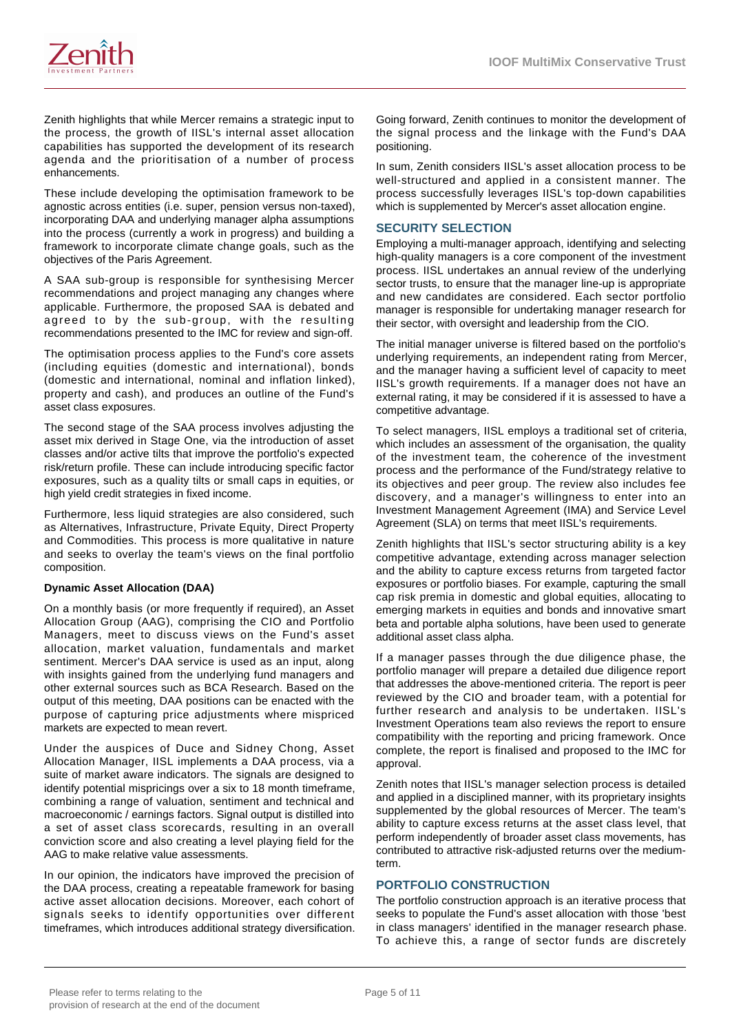

Zenith highlights that while Mercer remains a strategic input to the process, the growth of IISL's internal asset allocation capabilities has supported the development of its research agenda and the prioritisation of a number of process enhancements.

These include developing the optimisation framework to be agnostic across entities (i.e. super, pension versus non-taxed), incorporating DAA and underlying manager alpha assumptions into the process (currently a work in progress) and building a framework to incorporate climate change goals, such as the objectives of the Paris Agreement.

A SAA sub-group is responsible for synthesising Mercer recommendations and project managing any changes where applicable. Furthermore, the proposed SAA is debated and agreed to by the sub-group, with the resulting recommendations presented to the IMC for review and sign-off.

The optimisation process applies to the Fund's core assets (including equities (domestic and international), bonds (domestic and international, nominal and inflation linked), property and cash), and produces an outline of the Fund's asset class exposures.

The second stage of the SAA process involves adjusting the asset mix derived in Stage One, via the introduction of asset classes and/or active tilts that improve the portfolio's expected risk/return profile. These can include introducing specific factor exposures, such as a quality tilts or small caps in equities, or high yield credit strategies in fixed income.

Furthermore, less liquid strategies are also considered, such as Alternatives, Infrastructure, Private Equity, Direct Property and Commodities. This process is more qualitative in nature and seeks to overlay the team's views on the final portfolio composition.

#### **Dynamic Asset Allocation (DAA)**

On a monthly basis (or more frequently if required), an Asset Allocation Group (AAG), comprising the CIO and Portfolio Managers, meet to discuss views on the Fund's asset allocation, market valuation, fundamentals and market sentiment. Mercer's DAA service is used as an input, along with insights gained from the underlying fund managers and other external sources such as BCA Research. Based on the output of this meeting, DAA positions can be enacted with the purpose of capturing price adjustments where mispriced markets are expected to mean revert.

Under the auspices of Duce and Sidney Chong, Asset Allocation Manager, IISL implements a DAA process, via a suite of market aware indicators. The signals are designed to identify potential mispricings over a six to 18 month timeframe, combining a range of valuation, sentiment and technical and macroeconomic / earnings factors. Signal output is distilled into a set of asset class scorecards, resulting in an overall conviction score and also creating a level playing field for the AAG to make relative value assessments.

In our opinion, the indicators have improved the precision of the DAA process, creating a repeatable framework for basing active asset allocation decisions. Moreover, each cohort of signals seeks to identify opportunities over different timeframes, which introduces additional strategy diversification.

Going forward, Zenith continues to monitor the development of the signal process and the linkage with the Fund's DAA positioning.

In sum, Zenith considers IISL's asset allocation process to be well-structured and applied in a consistent manner. The process successfully leverages IISL's top-down capabilities which is supplemented by Mercer's asset allocation engine.

# **SECURITY SELECTION**

Employing a multi-manager approach, identifying and selecting high-quality managers is a core component of the investment process. IISL undertakes an annual review of the underlying sector trusts, to ensure that the manager line-up is appropriate and new candidates are considered. Each sector portfolio manager is responsible for undertaking manager research for their sector, with oversight and leadership from the CIO.

The initial manager universe is filtered based on the portfolio's underlying requirements, an independent rating from Mercer, and the manager having a sufficient level of capacity to meet IISL's growth requirements. If a manager does not have an external rating, it may be considered if it is assessed to have a competitive advantage.

To select managers, IISL employs a traditional set of criteria, which includes an assessment of the organisation, the quality of the investment team, the coherence of the investment process and the performance of the Fund/strategy relative to its objectives and peer group. The review also includes fee discovery, and a manager's willingness to enter into an Investment Management Agreement (IMA) and Service Level Agreement (SLA) on terms that meet IISL's requirements.

Zenith highlights that IISL's sector structuring ability is a key competitive advantage, extending across manager selection and the ability to capture excess returns from targeted factor exposures or portfolio biases. For example, capturing the small cap risk premia in domestic and global equities, allocating to emerging markets in equities and bonds and innovative smart beta and portable alpha solutions, have been used to generate additional asset class alpha.

If a manager passes through the due diligence phase, the portfolio manager will prepare a detailed due diligence report that addresses the above-mentioned criteria. The report is peer reviewed by the CIO and broader team, with a potential for further research and analysis to be undertaken. IISL's Investment Operations team also reviews the report to ensure compatibility with the reporting and pricing framework. Once complete, the report is finalised and proposed to the IMC for approval.

Zenith notes that IISL's manager selection process is detailed and applied in a disciplined manner, with its proprietary insights supplemented by the global resources of Mercer. The team's ability to capture excess returns at the asset class level, that perform independently of broader asset class movements, has contributed to attractive risk-adjusted returns over the mediumterm.

# **PORTFOLIO CONSTRUCTION**

The portfolio construction approach is an iterative process that seeks to populate the Fund's asset allocation with those 'best in class managers' identified in the manager research phase. To achieve this, a range of sector funds are discretely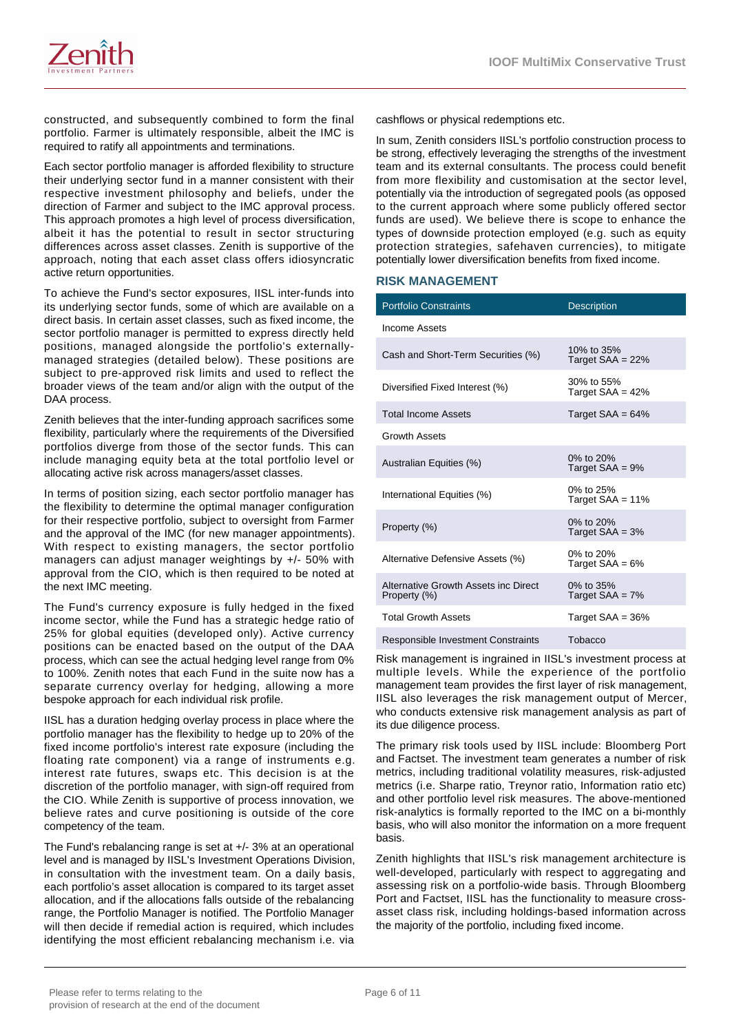

constructed, and subsequently combined to form the final portfolio. Farmer is ultimately responsible, albeit the IMC is required to ratify all appointments and terminations.

Each sector portfolio manager is afforded flexibility to structure their underlying sector fund in a manner consistent with their respective investment philosophy and beliefs, under the direction of Farmer and subject to the IMC approval process. This approach promotes a high level of process diversification, albeit it has the potential to result in sector structuring differences across asset classes. Zenith is supportive of the approach, noting that each asset class offers idiosyncratic active return opportunities.

To achieve the Fund's sector exposures, IISL inter-funds into its underlying sector funds, some of which are available on a direct basis. In certain asset classes, such as fixed income, the sector portfolio manager is permitted to express directly held positions, managed alongside the portfolio's externallymanaged strategies (detailed below). These positions are subject to pre-approved risk limits and used to reflect the broader views of the team and/or align with the output of the DAA process.

Zenith believes that the inter-funding approach sacrifices some flexibility, particularly where the requirements of the Diversified portfolios diverge from those of the sector funds. This can include managing equity beta at the total portfolio level or allocating active risk across managers/asset classes.

In terms of position sizing, each sector portfolio manager has the flexibility to determine the optimal manager configuration for their respective portfolio, subject to oversight from Farmer and the approval of the IMC (for new manager appointments). With respect to existing managers, the sector portfolio managers can adjust manager weightings by +/- 50% with approval from the CIO, which is then required to be noted at the next IMC meeting.

The Fund's currency exposure is fully hedged in the fixed income sector, while the Fund has a strategic hedge ratio of 25% for global equities (developed only). Active currency positions can be enacted based on the output of the DAA process, which can see the actual hedging level range from 0% to 100%. Zenith notes that each Fund in the suite now has a separate currency overlay for hedging, allowing a more bespoke approach for each individual risk profile.

IISL has a duration hedging overlay process in place where the portfolio manager has the flexibility to hedge up to 20% of the fixed income portfolio's interest rate exposure (including the floating rate component) via a range of instruments e.g. interest rate futures, swaps etc. This decision is at the discretion of the portfolio manager, with sign-off required from the CIO. While Zenith is supportive of process innovation, we believe rates and curve positioning is outside of the core competency of the team.

The Fund's rebalancing range is set at +/- 3% at an operational level and is managed by IISL's Investment Operations Division, in consultation with the investment team. On a daily basis, each portfolio's asset allocation is compared to its target asset allocation, and if the allocations falls outside of the rebalancing range, the Portfolio Manager is notified. The Portfolio Manager will then decide if remedial action is required, which includes identifying the most efficient rebalancing mechanism i.e. via cashflows or physical redemptions etc.

In sum, Zenith considers IISL's portfolio construction process to be strong, effectively leveraging the strengths of the investment team and its external consultants. The process could benefit from more flexibility and customisation at the sector level, potentially via the introduction of segregated pools (as opposed to the current approach where some publicly offered sector funds are used). We believe there is scope to enhance the types of downside protection employed (e.g. such as equity protection strategies, safehaven currencies), to mitigate potentially lower diversification benefits from fixed income.

#### **RISK MANAGEMENT**

| <b>Portfolio Constraints</b>                         | <b>Description</b>               |
|------------------------------------------------------|----------------------------------|
| Income Assets                                        |                                  |
| Cash and Short-Term Securities (%)                   | 10% to 35%<br>Target SAA = 22%   |
| Diversified Fixed Interest (%)                       | 30% to 55%<br>Target $SAA = 42%$ |
| <b>Total Income Assets</b>                           | Target $SAA = 64%$               |
| <b>Growth Assets</b>                                 |                                  |
| Australian Equities (%)                              | 0% to 20%<br>Target $SAA = 9%$   |
| International Equities (%)                           | 0% to 25%<br>Target $SAA = 11%$  |
| Property (%)                                         | 0% to 20%<br>Target $SAA = 3%$   |
| Alternative Defensive Assets (%)                     | 0% to 20%<br>Target $SAA = 6%$   |
| Alternative Growth Assets inc Direct<br>Property (%) | 0% to 35%<br>Target $SAA = 7%$   |
| <b>Total Growth Assets</b>                           | Target $SAA = 36%$               |
|                                                      |                                  |

Responsible Investment Constraints Tobacco

Risk management is ingrained in IISL's investment process at multiple levels. While the experience of the portfolio management team provides the first layer of risk management, IISL also leverages the risk management output of Mercer, who conducts extensive risk management analysis as part of its due diligence process.

The primary risk tools used by IISL include: Bloomberg Port and Factset. The investment team generates a number of risk metrics, including traditional volatility measures, risk-adjusted metrics (i.e. Sharpe ratio, Treynor ratio, Information ratio etc) and other portfolio level risk measures. The above-mentioned risk-analytics is formally reported to the IMC on a bi-monthly basis, who will also monitor the information on a more frequent basis.

Zenith highlights that IISL's risk management architecture is well-developed, particularly with respect to aggregating and assessing risk on a portfolio-wide basis. Through Bloomberg Port and Factset, IISL has the functionality to measure crossasset class risk, including holdings-based information across the majority of the portfolio, including fixed income.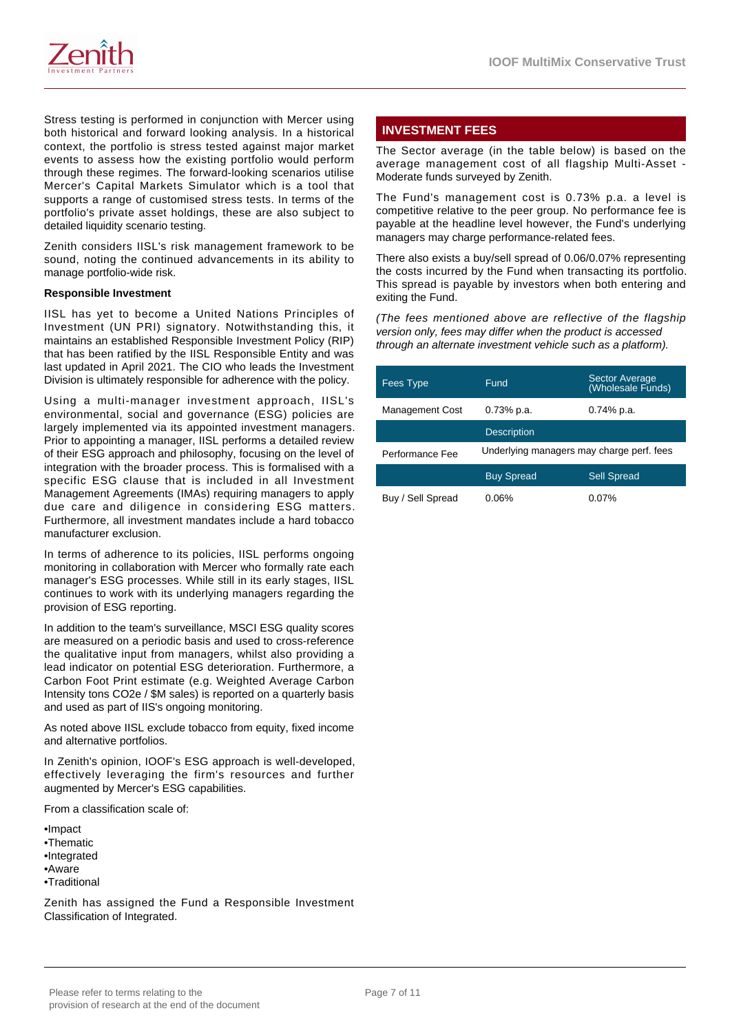

Stress testing is performed in conjunction with Mercer using both historical and forward looking analysis. In a historical context, the portfolio is stress tested against major market events to assess how the existing portfolio would perform through these regimes. The forward-looking scenarios utilise Mercer's Capital Markets Simulator which is a tool that supports a range of customised stress tests. In terms of the portfolio's private asset holdings, these are also subject to detailed liquidity scenario testing.

Zenith considers IISL's risk management framework to be sound, noting the continued advancements in its ability to manage portfolio-wide risk.

#### **Responsible Investment**

IISL has yet to become a United Nations Principles of Investment (UN PRI) signatory. Notwithstanding this, it maintains an established Responsible Investment Policy (RIP) that has been ratified by the IISL Responsible Entity and was last updated in April 2021. The CIO who leads the Investment Division is ultimately responsible for adherence with the policy.

Using a multi-manager investment approach, IISL's environmental, social and governance (ESG) policies are largely implemented via its appointed investment managers. Prior to appointing a manager, IISL performs a detailed review of their ESG approach and philosophy, focusing on the level of integration with the broader process. This is formalised with a specific ESG clause that is included in all Investment Management Agreements (IMAs) requiring managers to apply due care and diligence in considering ESG matters. Furthermore, all investment mandates include a hard tobacco manufacturer exclusion.

In terms of adherence to its policies, IISL performs ongoing monitoring in collaboration with Mercer who formally rate each manager's ESG processes. While still in its early stages, IISL continues to work with its underlying managers regarding the provision of ESG reporting.

In addition to the team's surveillance, MSCI ESG quality scores are measured on a periodic basis and used to cross-reference the qualitative input from managers, whilst also providing a lead indicator on potential ESG deterioration. Furthermore, a Carbon Foot Print estimate (e.g. Weighted Average Carbon Intensity tons CO2e / \$M sales) is reported on a quarterly basis and used as part of IIS's ongoing monitoring.

As noted above IISL exclude tobacco from equity, fixed income and alternative portfolios.

In Zenith's opinion, IOOF's ESG approach is well-developed, effectively leveraging the firm's resources and further augmented by Mercer's ESG capabilities.

From a classification scale of:

•Impact •Thematic •Integrated •Aware •Traditional

Zenith has assigned the Fund a Responsible Investment Classification of Integrated.

# **INVESTMENT FEES**

The Sector average (in the table below) is based on the average management cost of all flagship Multi-Asset - Moderate funds surveyed by Zenith.

The Fund's management cost is 0.73% p.a. a level is competitive relative to the peer group. No performance fee is payable at the headline level however, the Fund's underlying managers may charge performance-related fees.

There also exists a buy/sell spread of 0.06/0.07% representing the costs incurred by the Fund when transacting its portfolio. This spread is payable by investors when both entering and exiting the Fund.

(The fees mentioned above are reflective of the flagship version only, fees may differ when the product is accessed through an alternate investment vehicle such as a platform).

| Fees Type              | Fund                                      | Sector Average<br>(Wholesale Funds) |
|------------------------|-------------------------------------------|-------------------------------------|
| <b>Management Cost</b> | $0.73%$ p.a.                              | 0.74% p.a.                          |
|                        | <b>Description</b>                        |                                     |
| Performance Fee        | Underlying managers may charge perf. fees |                                     |
|                        | <b>Buy Spread</b>                         | <b>Sell Spread</b>                  |
| Buy / Sell Spread      | 0.06%                                     | $0.07\%$                            |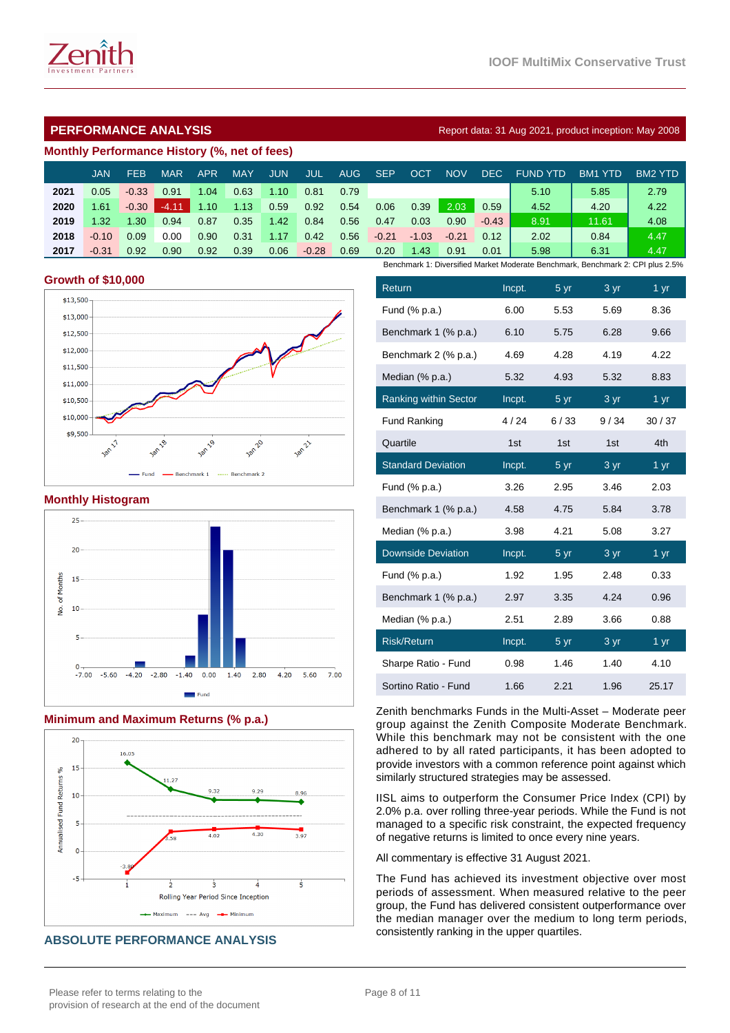# **PERFORMANCE ANALYSIS Report data: 31 Aug 2021, product inception: May 2008**

# **Monthly Performance History (%, net of fees)**

|      | <b>JAN</b> | <b>FEB</b>       | MAR     | APR  | <b>MAY</b> | JUN  | JUL     | AUG. | <b>SEP</b> | OCT     | <b>NOV</b> | DEC.    | <b>FUND YTD</b>                                                                | BM <sub>1</sub><br>-YTD | BM2 YTD |
|------|------------|------------------|---------|------|------------|------|---------|------|------------|---------|------------|---------|--------------------------------------------------------------------------------|-------------------------|---------|
| 2021 | 0.05       | $-0.33$          | 0.91    | 1.04 | 0.63       | 1.10 | 0.81    | 0.79 |            |         |            |         | 5.10                                                                           | 5.85                    | 2.79    |
| 2020 | 1.61       | $-0.30$          | $-4.11$ | 1.10 | 1.13       | 0.59 | 0.92    | 0.54 | 0.06       | 0.39    | 2.03       | 0.59    | 4.52                                                                           | 4.20                    | 4.22    |
| 2019 | 1.32       | $\overline{.30}$ | 0.94    | 0.87 | 0.35       | 1.42 | 0.84    | 0.56 | 0.47       | 0.03    | 0.90       | $-0.43$ | 8.91                                                                           | 11.61                   | 4.08    |
| 2018 | $-0.10$    | 0.09             | 0.00    | 0.90 | 0.31       | 1.17 | 0.42    | 0.56 | $-0.21$    | $-1.03$ | $-0.21$    | 0.12    | 2.02                                                                           | 0.84                    | 4.47    |
| 2017 | $-0.31$    | 0.92             | 0.90    | 0.92 | 0.39       | 0.06 | $-0.28$ | 0.69 | 0.20       | 1.43    | 0.91       | 0.01    | 5.98                                                                           | 6.31                    | 4.47    |
|      |            |                  |         |      |            |      |         |      |            |         |            |         | Benchmark 1: Diversified Market Moderate Benchmark, Benchmark 2: CPI plus 2.5% |                         |         |

#### **Growth of \$10,000**



#### **Monthly Histogram**



#### **Minimum and Maximum Returns (% p.a.)**



#### **ABSOLUTE PERFORMANCE ANALYSIS**

| Return                       | Incpt. | 5 yr            | $\overline{3}$ yr | 1 yr            |
|------------------------------|--------|-----------------|-------------------|-----------------|
| Fund (% p.a.)                | 6.00   | 5.53            | 5.69              | 8.36            |
| Benchmark 1 (% p.a.)         | 6.10   | 5.75            | 6.28              | 9.66            |
| Benchmark 2 (% p.a.)         | 4.69   | 4.28            | 4.19              | 4.22            |
| Median (% p.a.)              | 5.32   | 4.93            | 5.32              | 8.83            |
| <b>Ranking within Sector</b> | Incpt. | 5 yr            | 3 yr              | 1 <sub>yr</sub> |
| <b>Fund Ranking</b>          | 4/24   | 6/33            | 9/34              | 30/37           |
| Quartile                     | 1st    | 1st             | 1st               | 4th             |
| <b>Standard Deviation</b>    | Incpt. | 5 yr            | 3 yr              | $1 \text{ yr}$  |
| Fund (% p.a.)                | 3.26   | 2.95            | 3.46              | 2.03            |
| Benchmark 1 (% p.a.)         | 4.58   | 4.75            | 5.84              | 3.78            |
| Median (% p.a.)              | 3.98   | 4.21            | 5.08              | 3.27            |
| <b>Downside Deviation</b>    | Incpt. | 5 yr            | 3 yr              | 1 yr            |
| Fund (% p.a.)                | 1.92   | 1.95            | 2.48              | 0.33            |
| Benchmark 1 (% p.a.)         | 2.97   | 3.35            | 4.24              | 0.96            |
| Median (% p.a.)              | 2.51   | 2.89            | 3.66              | 0.88            |
| <b>Risk/Return</b>           | Incpt. | 5 <sub>yr</sub> | $3 \text{ yr}$    | 1 yr            |
| Sharpe Ratio - Fund          | 0.98   | 1.46            | 1.40              | 4.10            |
| Sortino Ratio - Fund         | 1.66   | 2.21            | 1.96              | 25.17           |

Zenith benchmarks Funds in the Multi-Asset – Moderate peer group against the Zenith Composite Moderate Benchmark. While this benchmark may not be consistent with the one adhered to by all rated participants, it has been adopted to provide investors with a common reference point against which similarly structured strategies may be assessed.

IISL aims to outperform the Consumer Price Index (CPI) by 2.0% p.a. over rolling three-year periods. While the Fund is not managed to a specific risk constraint, the expected frequency of negative returns is limited to once every nine years.

All commentary is effective 31 August 2021.

The Fund has achieved its investment objective over most periods of assessment. When measured relative to the peer group, the Fund has delivered consistent outperformance over the median manager over the medium to long term periods, consistently ranking in the upper quartiles.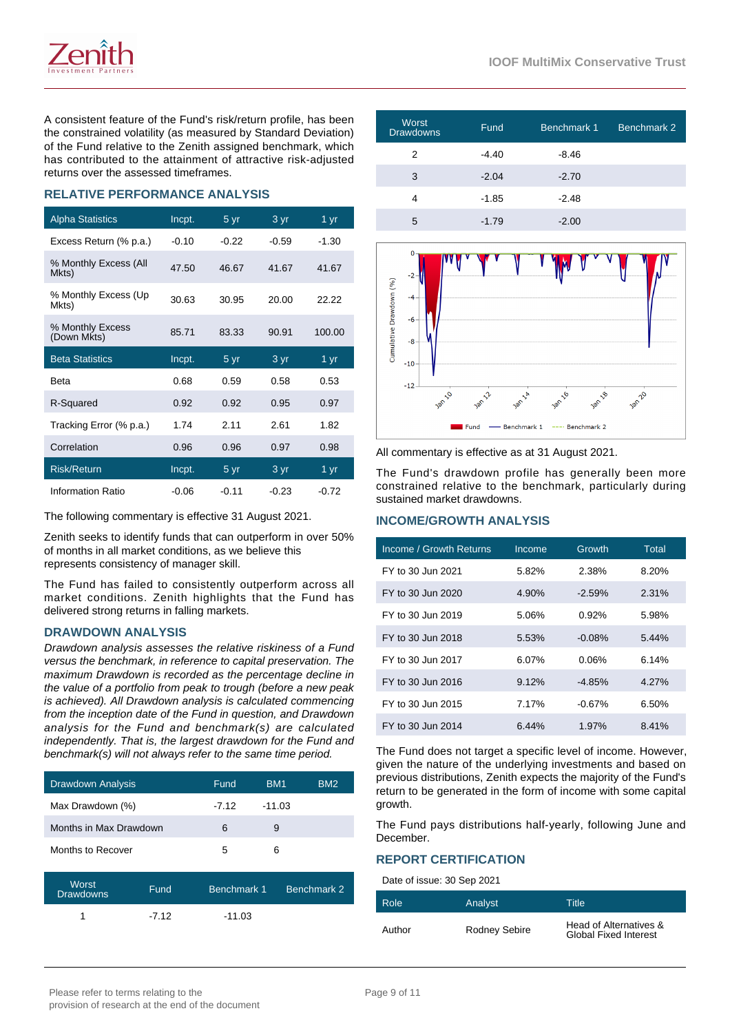

A consistent feature of the Fund's risk/return profile, has been the constrained volatility (as measured by Standard Deviation) of the Fund relative to the Zenith assigned benchmark, which has contributed to the attainment of attractive risk-adjusted returns over the assessed timeframes.

# **RELATIVE PERFORMANCE ANALYSIS**

| <b>Alpha Statistics</b>         | Incpt.  | 5 yr    | 3 yr              | 1 yr              |
|---------------------------------|---------|---------|-------------------|-------------------|
| Excess Return (% p.a.)          | $-0.10$ | $-0.22$ | $-0.59$           | $-1.30$           |
| % Monthly Excess (All<br>Mkts)  | 47.50   | 46.67   | 41.67             | 41.67             |
| % Monthly Excess (Up<br>Mkts)   | 30.63   | 30.95   | 20.00             | 22.22             |
| % Monthly Excess<br>(Down Mkts) | 85.71   | 83.33   | 90.91             | 100.00            |
|                                 |         |         |                   |                   |
| <b>Beta Statistics</b>          | Incpt.  | 5 yr    | 3 yr              | $1 \overline{yr}$ |
| <b>Beta</b>                     | 0.68    | 0.59    | 0.58              | 0.53              |
| R-Squared                       | 0.92    | 0.92    | 0.95              | 0.97              |
| Tracking Error (% p.a.)         | 1.74    | 2.11    | 2.61              | 1.82              |
| Correlation                     | 0.96    | 0.96    | 0.97              | 0.98              |
| <b>Risk/Return</b>              | Incpt.  | 5 yr    | $3 \overline{yr}$ | 1 yr              |

The following commentary is effective 31 August 2021.

Zenith seeks to identify funds that can outperform in over 50% of months in all market conditions, as we believe this represents consistency of manager skill.

The Fund has failed to consistently outperform across all market conditions. Zenith highlights that the Fund has delivered strong returns in falling markets.

#### **DRAWDOWN ANALYSIS**

Drawdown analysis assesses the relative riskiness of a Fund versus the benchmark, in reference to capital preservation. The maximum Drawdown is recorded as the percentage decline in the value of a portfolio from peak to trough (before a new peak is achieved). All Drawdown analysis is calculated commencing from the inception date of the Fund in question, and Drawdown analysis for the Fund and benchmark(s) are calculated independently. That is, the largest drawdown for the Fund and benchmark(s) will not always refer to the same time period.

| <b>Drawdown Analysis</b> | Fund    | BM <sub>1</sub> | BM <sub>2</sub> |
|--------------------------|---------|-----------------|-----------------|
| Max Drawdown (%)         | $-7.12$ | $-11.03$        |                 |
| Months in Max Drawdown   | 6       | 9               |                 |
| Months to Recover        | 5       | 6               |                 |

| Worst<br><b>Drawdowns</b> | Fund.   | Benchmark 1 | Benchmark 2 |
|---------------------------|---------|-------------|-------------|
|                           | $-7.12$ | $-11.03$    |             |

| Worst<br><b>Drawdowns</b> | Fund    | Benchmark 1 | Benchmark 2 |
|---------------------------|---------|-------------|-------------|
| 2                         | $-4.40$ | $-8.46$     |             |
| 3                         | $-2.04$ | $-2.70$     |             |
| 4                         | $-1.85$ | $-2.48$     |             |
| 5                         | $-1.79$ | $-2.00$     |             |



All commentary is effective as at 31 August 2021.

The Fund's drawdown profile has generally been more constrained relative to the benchmark, particularly during sustained market drawdowns.

#### **INCOME/GROWTH ANALYSIS**

| Income / Growth Returns | Income   | Growth    | Total |
|-------------------------|----------|-----------|-------|
| FY to 30 Jun 2021       | 5.82%    | 2.38%     | 8.20% |
| FY to 30 Jun 2020       | 4.90%    | $-2.59\%$ | 2.31% |
| FY to 30 Jun 2019       | 5.06%    | $0.92\%$  | 5.98% |
| FY to 30 Jun 2018       | 5.53%    | $-0.08\%$ | 5.44% |
| FY to 30 Jun 2017       | 6.07%    | 0.06%     | 6.14% |
| FY to 30 Jun 2016       | $9.12\%$ | $-4.85\%$ | 4.27% |
| FY to 30 Jun 2015       | 7.17%    | $-0.67%$  | 6.50% |
| FY to 30 Jun 2014       | 6.44%    | 1.97%     | 8.41% |

The Fund does not target a specific level of income. However, given the nature of the underlying investments and based on previous distributions, Zenith expects the majority of the Fund's return to be generated in the form of income with some capital growth.

The Fund pays distributions half-yearly, following June and December.

### **REPORT CERTIFICATION**

Date of issue: 30 Sep 2021

| Role   | Analyst       | Title                                                  |
|--------|---------------|--------------------------------------------------------|
| Author | Rodney Sebire | Head of Alternatives &<br><b>Global Fixed Interest</b> |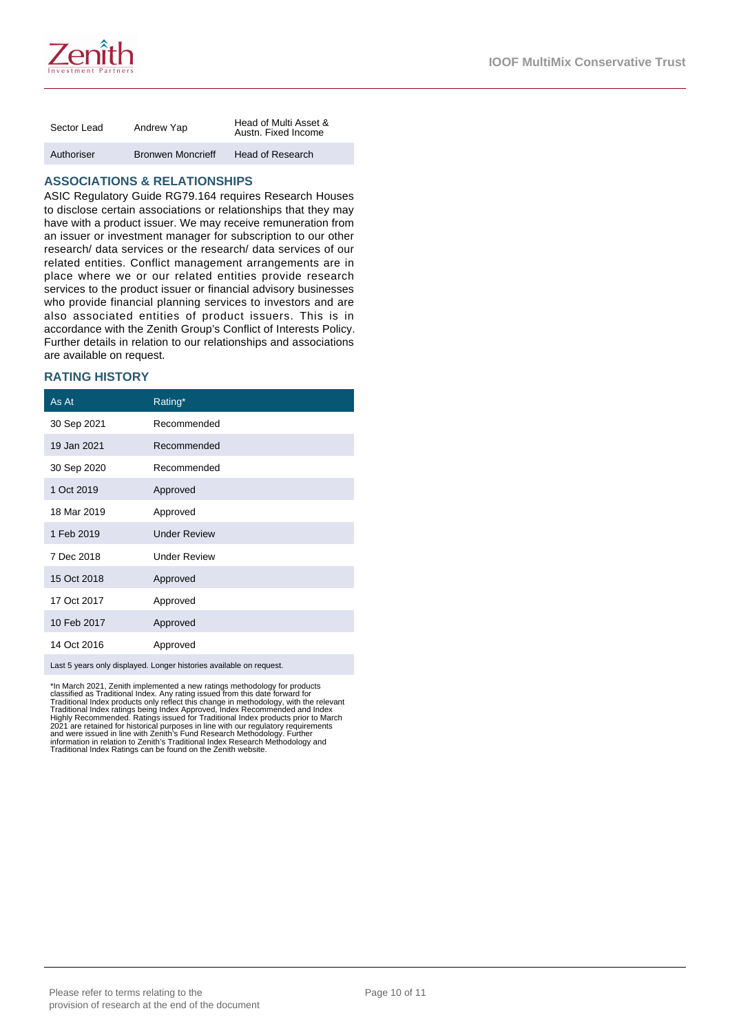

| Sector Lead | Andrew Yap               | Head of Multi Asset &<br>Austn. Fixed Income |
|-------------|--------------------------|----------------------------------------------|
| Authoriser  | <b>Bronwen Moncrieff</b> | Head of Research                             |

## **ASSOCIATIONS & RELATIONSHIPS**

ASIC Regulatory Guide RG79.164 requires Research Houses to disclose certain associations or relationships that they may have with a product issuer. We may receive remuneration from an issuer or investment manager for subscription to our other research/ data services or the research/ data services of our related entities. Conflict management arrangements are in place where we or our related entities provide research services to the product issuer or financial advisory businesses who provide financial planning services to investors and are also associated entities of product issuers. This is in accordance with the Zenith Group's Conflict of Interests Policy. Further details in relation to our relationships and associations are available on request.

## **RATING HISTORY**

| Rating*             |
|---------------------|
| Recommended         |
| Recommended         |
| Recommended         |
| Approved            |
| Approved            |
| <b>Under Review</b> |
| <b>Under Review</b> |
| Approved            |
| Approved            |
| Approved            |
| Approved            |
|                     |

Last 5 years only displayed. Longer histories available on request.

\*In March 2021, Zenith implemented a new ratings methodology for products<br>classified as Traditional Index. Any rating issued from this date forward for<br>Traditional Index ratings being Index Approved, Index Recommended and Traditional Index Ratings can be found on the Zenith website.